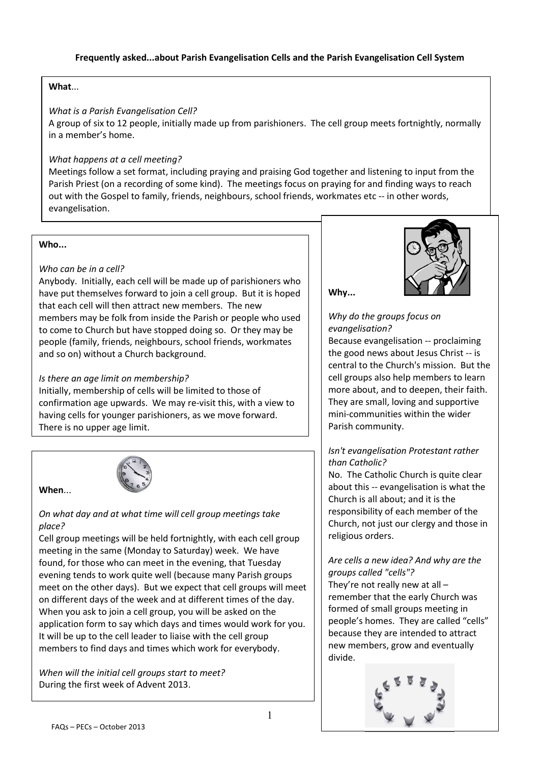## What...

### What is a Parish Evangelisation Cell?

A group of six to 12 people, initially made up from parishioners. The cell group meets fortnightly, normally in a member's home.

## What happens at a cell meeting?

Meetings follow a set format, including praying and praising God together and listening to input from the Parish Priest (on a recording of some kind). The meetings focus on praying for and finding ways to reach out with the Gospel to family, friends, neighbours, school friends, workmates etc -- in other words, evangelisation.

## Who...

When...

# Who can be in a cell?

Anybody. Initially, each cell will be made up of parishioners who have put themselves forward to join a cell group. But it is hoped that each cell will then attract new members. The new members may be folk from inside the Parish or people who used to come to Church but have stopped doing so. Or they may be people (family, friends, neighbours, school friends, workmates and so on) without a Church background.

# Is there an age limit on membership?

Initially, membership of cells will be limited to those of confirmation age upwards. We may re-visit this, with a view to having cells for younger parishioners, as we move forward. There is no upper age limit.



## On what day and at what time will cell group meetings take place?

Cell group meetings will be held fortnightly, with each cell group meeting in the same (Monday to Saturday) week. We have found, for those who can meet in the evening, that Tuesday evening tends to work quite well (because many Parish groups meet on the other days). But we expect that cell groups will meet on different days of the week and at different times of the day. When you ask to join a cell group, you will be asked on the application form to say which days and times would work for you. It will be up to the cell leader to liaise with the cell group members to find days and times which work for everybody.

When will the initial cell groups start to meet? During the first week of Advent 2013.



Why...

Why do the groups focus on evangelisation?

Because evangelisation -- proclaiming the good news about Jesus Christ -- is central to the Church's mission. But the cell groups also help members to learn more about, and to deepen, their faith. They are small, loving and supportive mini-communities within the wider Parish community.

# Isn't evangelisation Protestant rather than Catholic?

No. The Catholic Church is quite clear about this -- evangelisation is what the Church is all about; and it is the responsibility of each member of the Church, not just our clergy and those in religious orders.

## Are cells a new idea? And why are the groups called "cells"?

They're not really new at all – remember that the early Church was formed of small groups meeting in people's homes. They are called "cells" because they are intended to attract new members, grow and eventually divide.

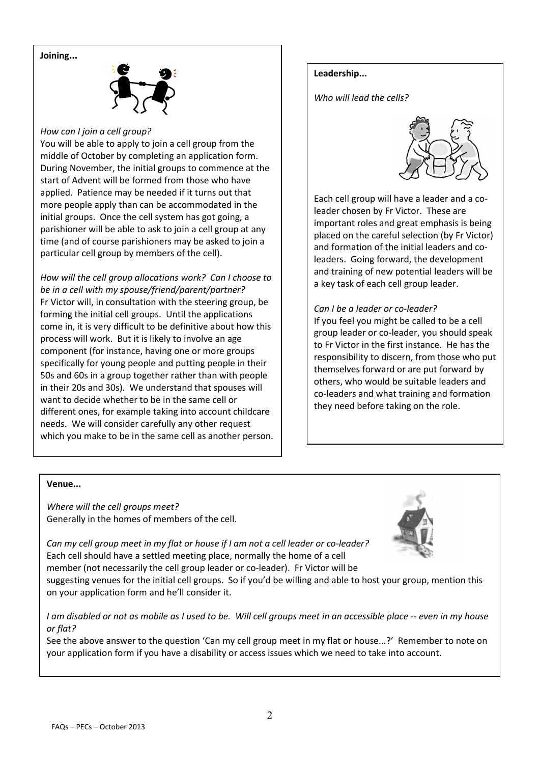### Joining...



#### How can I join a cell group?

You will be able to apply to join a cell group from the middle of October by completing an application form. During November, the initial groups to commence at the start of Advent will be formed from those who have applied. Patience may be needed if it turns out that more people apply than can be accommodated in the initial groups. Once the cell system has got going, a parishioner will be able to ask to join a cell group at any time (and of course parishioners may be asked to join a particular cell group by members of the cell).

How will the cell group allocations work? Can I choose to be in a cell with my spouse/friend/parent/partner? Fr Victor will, in consultation with the steering group, be forming the initial cell groups. Until the applications come in, it is very difficult to be definitive about how this process will work. But it is likely to involve an age component (for instance, having one or more groups specifically for young people and putting people in their 50s and 60s in a group together rather than with people in their 20s and 30s). We understand that spouses will want to decide whether to be in the same cell or different ones, for example taking into account childcare needs. We will consider carefully any other request which you make to be in the same cell as another person.

### Leadership...

Who will lead the cells?



Each cell group will have a leader and a coleader chosen by Fr Victor. These are important roles and great emphasis is being placed on the careful selection (by Fr Victor) and formation of the initial leaders and coleaders. Going forward, the development and training of new potential leaders will be a key task of each cell group leader.

Can I be a leader or co-leader?

If you feel you might be called to be a cell group leader or co-leader, you should speak to Fr Victor in the first instance. He has the responsibility to discern, from those who put themselves forward or are put forward by others, who would be suitable leaders and co-leaders and what training and formation they need before taking on the role.

#### Venue...

Where will the cell groups meet? Generally in the homes of members of the cell.



Can my cell group meet in my flat or house if I am not a cell leader or co-leader? Each cell should have a settled meeting place, normally the home of a cell member (not necessarily the cell group leader or co-leader). Fr Victor will be

suggesting venues for the initial cell groups. So if you'd be willing and able to host your group, mention this on your application form and he'll consider it.

I am disabled or not as mobile as I used to be. Will cell groups meet in an accessible place -- even in my house or flat?

See the above answer to the question 'Can my cell group meet in my flat or house...?' Remember to note on your application form if you have a disability or access issues which we need to take into account.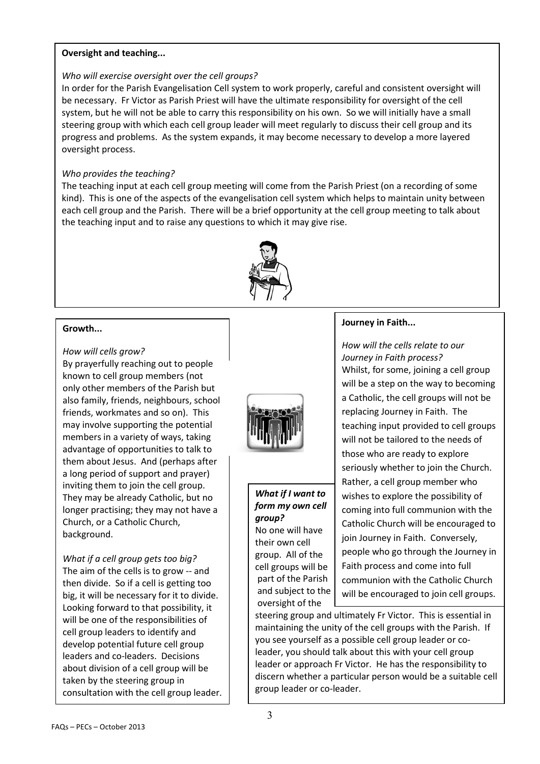#### Oversight and teaching...

### Who will exercise oversight over the cell groups?

In order for the Parish Evangelisation Cell system to work properly, careful and consistent oversight will be necessary. Fr Victor as Parish Priest will have the ultimate responsibility for oversight of the cell system, but he will not be able to carry this responsibility on his own. So we will initially have a small steering group with which each cell group leader will meet regularly to discuss their cell group and its progress and problems. As the system expands, it may become necessary to develop a more layered oversight process.

### Who provides the teaching?

The teaching input at each cell group meeting will come from the Parish Priest (on a recording of some kind). This is one of the aspects of the evangelisation cell system which helps to maintain unity between each cell group and the Parish. There will be a brief opportunity at the cell group meeting to talk about the teaching input and to raise any questions to which it may give rise.



#### Growth...

#### How will cells grow?

By prayerfully reaching out to people known to cell group members (not only other members of the Parish but also family, friends, neighbours, school friends, workmates and so on). This may involve supporting the potential members in a variety of ways, taking advantage of opportunities to talk to them about Jesus. And (perhaps after a long period of support and prayer) inviting them to join the cell group. They may be already Catholic, but no longer practising; they may not have a Church, or a Catholic Church, background.

What if a cell group gets too big? The aim of the cells is to grow -- and then divide. So if a cell is getting too big, it will be necessary for it to divide. Looking forward to that possibility, it will be one of the responsibilities of cell group leaders to identify and develop potential future cell group leaders and co-leaders. Decisions about division of a cell group will be taken by the steering group in consultation with the cell group leader.



What if I want to form my own cell group? No one will have their own cell group. All of the cell groups will be part of the Parish and subject to the oversight of the

### Journey in Faith...

How will the cells relate to our Journey in Faith process? Whilst, for some, joining a cell group will be a step on the way to becoming a Catholic, the cell groups will not be replacing Journey in Faith. The teaching input provided to cell groups will not be tailored to the needs of those who are ready to explore seriously whether to join the Church. Rather, a cell group member who wishes to explore the possibility of coming into full communion with the Catholic Church will be encouraged to join Journey in Faith. Conversely, people who go through the Journey in Faith process and come into full communion with the Catholic Church will be encouraged to join cell groups.

steering group and ultimately Fr Victor. This is essential in maintaining the unity of the cell groups with the Parish. If you see yourself as a possible cell group leader or coleader, you should talk about this with your cell group leader or approach Fr Victor. He has the responsibility to discern whether a particular person would be a suitable cell group leader or co-leader.